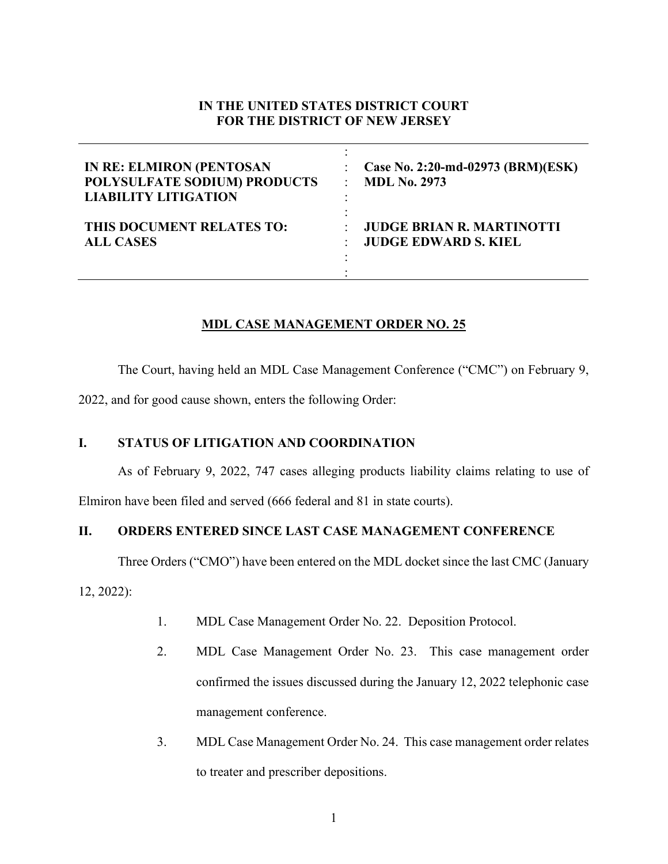## **IN THE UNITED STATES DISTRICT COURT FOR THE DISTRICT OF NEW JERSEY**

| <b>IN RE: ELMIRON (PENTOSAN</b> | Case No. 2:20-md-02973 (BRM)(ESK) |
|---------------------------------|-----------------------------------|
| POLYSULFATE SODIUM) PRODUCTS    | <b>MDL No. 2973</b>               |
| <b>LIABILITY LITIGATION</b>     | ۰                                 |
| THIS DOCUMENT RELATES TO:       | <b>JUDGE BRIAN R. MARTINOTTI</b>  |
| <b>ALL CASES</b>                | <b>JUDGE EDWARD S. KIEL</b>       |

## **MDL CASE MANAGEMENT ORDER NO. 25**

The Court, having held an MDL Case Management Conference ("CMC") on February 9,

2022, and for good cause shown, enters the following Order:

## **I. STATUS OF LITIGATION AND COORDINATION**

As of February 9, 2022, 747 cases alleging products liability claims relating to use of

Elmiron have been filed and served (666 federal and 81 in state courts).

## **II. ORDERS ENTERED SINCE LAST CASE MANAGEMENT CONFERENCE**

Three Orders ("CMO") have been entered on the MDL docket since the last CMC (January

12, 2022):

- 1. MDL Case Management Order No. 22. Deposition Protocol.
- 2. MDL Case Management Order No. 23. This case management order confirmed the issues discussed during the January 12, 2022 telephonic case management conference.
- 3. MDL Case Management Order No. 24. This case management order relates to treater and prescriber depositions.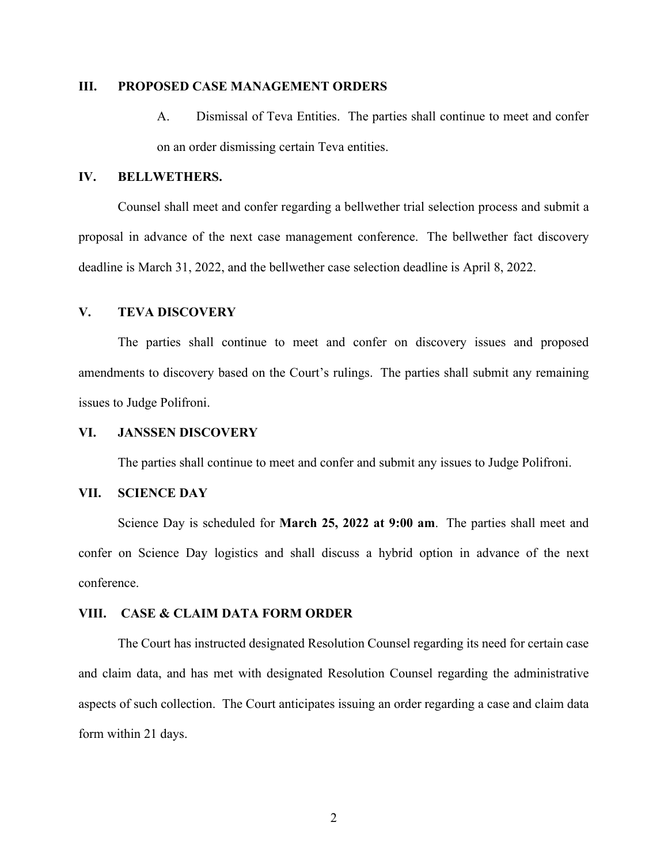#### **III. PROPOSED CASE MANAGEMENT ORDERS**

A. Dismissal of Teva Entities. The parties shall continue to meet and confer on an order dismissing certain Teva entities.

### **IV. BELLWETHERS.**

Counsel shall meet and confer regarding a bellwether trial selection process and submit a proposal in advance of the next case management conference. The bellwether fact discovery deadline is March 31, 2022, and the bellwether case selection deadline is April 8, 2022.

#### **V. TEVA DISCOVERY**

The parties shall continue to meet and confer on discovery issues and proposed amendments to discovery based on the Court's rulings. The parties shall submit any remaining issues to Judge Polifroni.

#### **VI. JANSSEN DISCOVERY**

The parties shall continue to meet and confer and submit any issues to Judge Polifroni.

### **VII. SCIENCE DAY**

Science Day is scheduled for **March 25, 2022 at 9:00 am**. The parties shall meet and confer on Science Day logistics and shall discuss a hybrid option in advance of the next conference.

#### **VIII. CASE & CLAIM DATA FORM ORDER**

The Court has instructed designated Resolution Counsel regarding its need for certain case and claim data, and has met with designated Resolution Counsel regarding the administrative aspects of such collection. The Court anticipates issuing an order regarding a case and claim data form within 21 days.